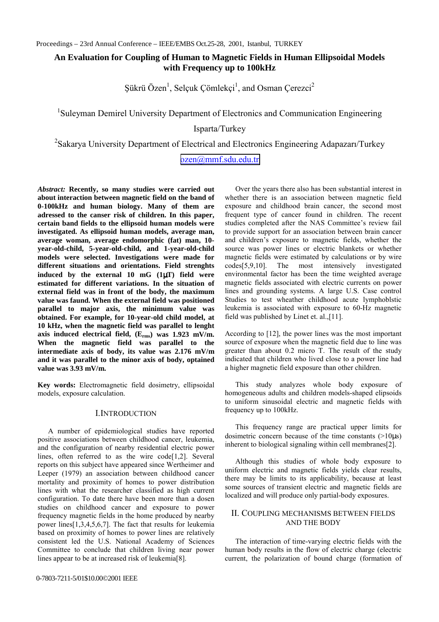# **An Evaluation for Coupling of Human to Magnetic Fields in Human Ellipsoidal Models with Frequency up to 100kHz**

Şükrü Özen $^1$ , Selçuk Çömlekçi $^1$ , and Osman Çerezci $^2$ 

<sup>1</sup>Suleyman Demirel University Department of Electronics and Communication Engineering

Isparta/Turkey

<sup>2</sup>Sakarya University Department of Electrical and Electronics Engineering Adapazarı/Turkey

[ozen@mmf.sdu.edu.tr](mailto:ozen@mmf.sdu.edu.tr)

*Abstract:* **Recently, so many studies were carried out about interaction between magnetic field on the band of 0-100kHz and human biology. Many of them are adressed to the canser risk of children. In this paper, certain band fields to the ellipsoid human models were investigated. As ellipsoid human models, average man, average woman, average endomorphic (fat) man, 10 year-old-child, 5-year-old-child, and 1-year-old-child models were selected. Investigations were made for different situations and orientations. Field strenghts induced by the external 10 mG (1**µ**T) field were estimated for different variations. In the situation of external field was in front of the body, the maximum value was faund. When the external field was positioned parallel to major axis, the minimum value was obtained. For example, for 10-year-old child model, at 10 kHz, when the magnetic field was parallel to lenght axis induced electrical field, (Erms) was 1.923 mV/m. When the magnetic field was parallel to the intermediate axis of body, its value was 2.176 mV/m and it was parallel to the minor axis of body, optained value was 3.93 mV/m.**

**Key words:** Electromagnetic field dosimetry, ellipsoidal models, exposure calculation.

## I.INTRODUCTION

A number of epidemiological studies have reported positive associations between childhood cancer, leukemia, and the configuration of nearby residential electric power lines, often referred to as the wire code[1,2]. Several reports on this subject have appeared since Wertheimer and Leeper (1979) an association between childhood cancer mortality and proximity of homes to power distribution lines with what the researcher classified as high current configuration. To date there have been more than a dosen studies on childhood cancer and exposure to power frequency magnetic fields in the home produced by nearby power lines[1,3,4,5,6,7]. The fact that results for leukemia based on proximity of homes to power lines are relatively consistent led the U.S. National Academy of Sciences Committee to conclude that children living near power lines appear to be at increased risk of leukemia[8].

Over the years there also has been substantial interest in whether there is an association between magnetic field exposure and childhood brain cancer, the second most frequent type of cancer found in children. The recent studies completed after the NAS Committee's review fail to provide support for an association between brain cancer and children's exposure to magnetic fields, whether the source was power lines or electric blankets or whether magnetic fields were estimated by calculations or by wire codes[5,9,10]. The most intensively investigated environmental factor has been the time weighted average magnetic fields associated with electric currents on power lines and grounding systems. A large U.S. Case control Studies to test wheather childhood acute lymphoblstic leukemia is associated with exposure to 60-Hz magnetic field was published by Linet et. al.,[11].

According to [12], the power lines was the most important source of exposure when the magnetic field due to line was greater than about 0.2 micro T. The result of the study indicated that children who lived close to a power line had a higher magnetic field exposure than other children.

This study analyzes whole body exposure of homogeneous adults and children models-shaped elipsoids to uniform sinusoidal electric and magnetic fields with frequency up to 100kHz.

This frequency range are practical upper limits for dosimetric concern because of the time constants  $(>10\mu s)$ inherent to biological signaling within cell membranes[2].

Although this studies of whole body exposure to uniform electric and magnetic fields yields clear results, there may be limits to its applicability, because at least some sources of transient electric and magnetic fields are localized and will produce only partial-body exposures.

## II. COUPLING MECHANISMS BETWEEN FIELDS AND THE BODY

The interaction of time-varying electric fields with the human body results in the flow of electric charge (electric current, the polarization of bound charge (formation of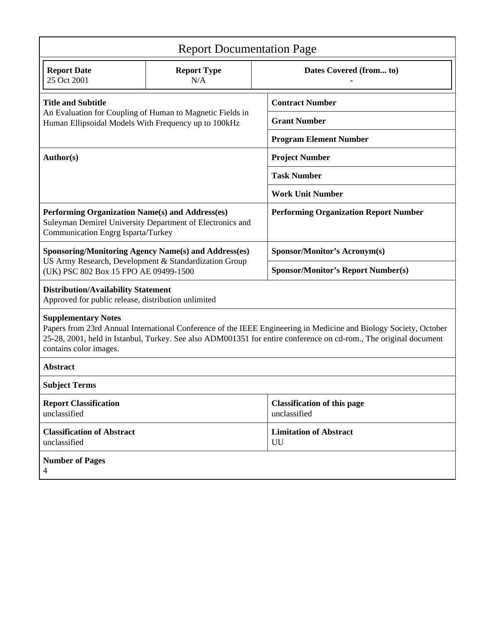| <b>Report Documentation Page</b>                                                                                                                                                                                                                                                               |                                                             |                                                    |  |  |  |  |  |  |
|------------------------------------------------------------------------------------------------------------------------------------------------------------------------------------------------------------------------------------------------------------------------------------------------|-------------------------------------------------------------|----------------------------------------------------|--|--|--|--|--|--|
| <b>Report Date</b><br>25 Oct 2001                                                                                                                                                                                                                                                              | <b>Report Type</b><br>N/A                                   | Dates Covered (from to)                            |  |  |  |  |  |  |
| <b>Title and Subtitle</b>                                                                                                                                                                                                                                                                      |                                                             | <b>Contract Number</b>                             |  |  |  |  |  |  |
| Human Ellipsoidal Models With Frequency up to 100kHz                                                                                                                                                                                                                                           | An Evaluation for Coupling of Human to Magnetic Fields in   | <b>Grant Number</b>                                |  |  |  |  |  |  |
|                                                                                                                                                                                                                                                                                                |                                                             | <b>Program Element Number</b>                      |  |  |  |  |  |  |
| Author(s)                                                                                                                                                                                                                                                                                      |                                                             | <b>Project Number</b>                              |  |  |  |  |  |  |
|                                                                                                                                                                                                                                                                                                |                                                             | <b>Task Number</b>                                 |  |  |  |  |  |  |
|                                                                                                                                                                                                                                                                                                |                                                             | <b>Work Unit Number</b>                            |  |  |  |  |  |  |
| Performing Organization Name(s) and Address(es)<br>Communication Engrg Isparta/Turkey                                                                                                                                                                                                          | Suleyman Demirel University Department of Electronics and   | <b>Performing Organization Report Number</b>       |  |  |  |  |  |  |
|                                                                                                                                                                                                                                                                                                | <b>Sponsoring/Monitoring Agency Name(s) and Address(es)</b> | <b>Sponsor/Monitor's Acronym(s)</b>                |  |  |  |  |  |  |
| US Army Research, Development & Standardization Group<br>(UK) PSC 802 Box 15 FPO AE 09499-1500                                                                                                                                                                                                 |                                                             | <b>Sponsor/Monitor's Report Number(s)</b>          |  |  |  |  |  |  |
| <b>Distribution/Availability Statement</b><br>Approved for public release, distribution unlimited                                                                                                                                                                                              |                                                             |                                                    |  |  |  |  |  |  |
| <b>Supplementary Notes</b><br>Papers from 23rd Annual International Conference of the IEEE Engineering in Medicine and Biology Society, October<br>25-28, 2001, held in Istanbul, Turkey. See also ADM001351 for entire conference on cd-rom., The original document<br>contains color images. |                                                             |                                                    |  |  |  |  |  |  |
| <b>Abstract</b>                                                                                                                                                                                                                                                                                |                                                             |                                                    |  |  |  |  |  |  |
| <b>Subject Terms</b>                                                                                                                                                                                                                                                                           |                                                             |                                                    |  |  |  |  |  |  |
| <b>Report Classification</b><br>unclassified                                                                                                                                                                                                                                                   |                                                             | <b>Classification of this page</b><br>unclassified |  |  |  |  |  |  |
| <b>Classification of Abstract</b><br>unclassified                                                                                                                                                                                                                                              |                                                             | <b>Limitation of Abstract</b><br>UU                |  |  |  |  |  |  |
| <b>Number of Pages</b><br>4                                                                                                                                                                                                                                                                    |                                                             |                                                    |  |  |  |  |  |  |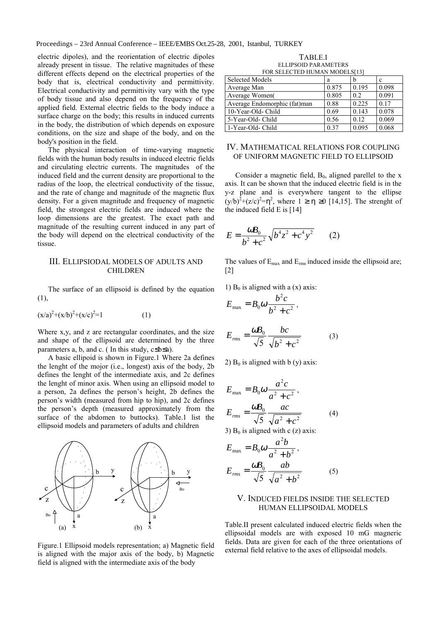electric dipoles), and the reorientation of electric dipoles already present in tissue. The relative magnitudes of these different effects depend on the electrical properties of the body that is, electrical conductivity and permittivity. Electrical conductivity and permittivity vary with the type of body tissue and also depend on the frequency of the applied field. External electric fields to the body induce a surface charge on the body; this results in induced currents in the body, the distribution of which depends on exposure conditions, on the size and shape of the body, and on the body's position in the field.

The physical interaction of time-varying magnetic fields with the human body results in induced electric fields and circulating electric currents. The magnitudes of the induced field and the current density are proportional to the radius of the loop, the electrical conductivity of the tissue, and the rate of change and magnitude of the magnetic flux density. For a given magnitude and frequency of magnetic field, the strongest electric fields are induced where the loop dimensions are the greatest. The exact path and magnitude of the resulting current induced in any part of the body will depend on the electrical conductivity of the tissue.

#### III. ELLIPSIODAL MODELS OF ADULTS AND **CHILDREN**

The surface of an ellipsoid is defined by the equation (1),

$$
(x/a)^2 + (x/b)^2 + (x/c)^2 = 1
$$
 (1)

Where x,y, and z are rectangular coordinates, and the size and shape of the ellipsoid are determined by the three parameters a, b, and c. (In this study,  $c \leq b \leq a$ ).

A basic ellipoid is shown in Figure.1 Where 2a defines the lenght of the mojor (i.e., longest) axis of the body, 2b defines the lenght of the intermediate axis, and 2c defines the lenght of minor axis. When using an ellipsoid model to a person, 2a defines the person's height, 2b defines the person's width (measured from hip to hip), and 2c defines the person's depth (measured approximately from the surface of the abdomen to buttocks). Table.1 list the ellipsoid models and parameters of adults and children



Figure.1 Ellipsoid models representation; a) Magnetic field is aligned with the major axis of the body, b) Magnetic field is aligned with the intermediate axis of the body

TABLE.I ELLIPSOID PARAMETERS FOR SELECTED HUMAN MODELS[13]

| 1 01\00000\100 110\111\11\00000\12 |       |       |       |  |  |  |  |  |
|------------------------------------|-------|-------|-------|--|--|--|--|--|
| Selected Models                    | а     |       | с     |  |  |  |  |  |
| Average Man                        | 0.875 | 0.195 | 0.098 |  |  |  |  |  |
| Average Women                      | 0.805 | 0.2   | 0.091 |  |  |  |  |  |
| Average Endomorphic (fat)man       | 0.88  | 0.225 | 0.17  |  |  |  |  |  |
| 10-Year-Old- Child                 | 0.69  | 0.143 | 0.078 |  |  |  |  |  |
| 5-Year-Old- Child                  | 0.56  | 0.12  | 0.069 |  |  |  |  |  |
| 1-Year-Old- Child                  | 0.37  | 0.095 | 0.068 |  |  |  |  |  |

#### IV. MATHEMATICAL RELATIONS FOR COUPLING OF UNIFORM MAGNETIC FIELD TO ELLIPSOID

Consider a magnetic field,  $B_0$ , aligned parellel to the x axis. It can be shown that the induced electric field is in the y-z plane and is everywhere tangent to the ellipse  $(y/b)^{2}+(z/c)^{2}=\eta^{2}$ , where  $1 \ge \eta \ge 0$  [14,15]. The strenght of the induced field E is [14]

$$
E = \frac{\omega B_0}{b^2 + c^2} \sqrt{b^4 z^2 + c^4 y^2} \qquad (2)
$$

The values of  $E_{\text{max}}$  and  $E_{\text{rms}}$  induced inside the ellipsoid are; [2]

(3)

1)  $B_0$  is aligned with a (x) axis:

$$
E_{\text{max}} = B_0 \omega \frac{b^2 c}{b^2 + c^2},
$$

$$
E_{\text{rms}} = \frac{\omega B_0}{\sqrt{5}} \frac{bc}{\sqrt{b^2 + c^2}}
$$

2)  $B_0$  is aligned with b (y) axis:

$$
E_{\text{max}} = B_0 \omega \frac{a^2 c}{a^2 + c^2},
$$
  
\n
$$
E_{\text{rms}} = \frac{\omega B_0}{\sqrt{5}} \frac{ac}{\sqrt{a^2 + c^2}}
$$
 (4)

3)  $B_0$  is aligned with c (z) axis:

$$
E_{\text{max}} = B_0 \omega \frac{a^2 b}{a^2 + b^2},
$$
  

$$
E_{\text{rms}} = \frac{\omega B_0}{\sqrt{5}} \frac{ab}{\sqrt{a^2 + b^2}}
$$
 (5)

## V. INDUCED FIELDS INSIDE THE SELECTED HUMAN ELLIPSOIDAL MODELS

Table.II present calculated induced electric fields when the ellipsoidal models are with exposed 10 mG magneric fields. Data are given for each of the three orientations of external field relative to the axes of ellipsoidal models.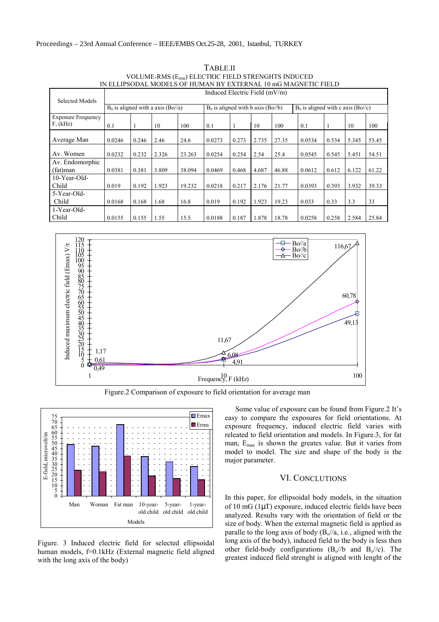| Selected Models                       | Induced Electric Field $(mV/m)$      |       |       |                                      |        |       |                                      |       |        |       |       |       |
|---------------------------------------|--------------------------------------|-------|-------|--------------------------------------|--------|-------|--------------------------------------|-------|--------|-------|-------|-------|
|                                       | $B_0$ is aligned with a axis (Bo//a) |       |       | $B_0$ is aligned with b axis (Bo//b) |        |       | $B_0$ is aligned with c axis (Bo//c) |       |        |       |       |       |
| <b>Exposure Frequency</b><br>F, (kHz) | 0.1                                  |       | 10    | 100                                  | 0.1    |       | 10                                   | 100   | 0.1    |       | 10    | 100   |
| Average Man                           | 0.0246                               | 0.246 | 2.46  | 24.6                                 | 0.0273 | 0.273 | 2.735                                | 27.35 | 0.0534 | 0.534 | 5.345 | 53.45 |
| Av. Women                             | 0.0232                               | 0.232 | 2.326 | 23.263                               | 0.0254 | 0.254 | 2.54                                 | 25.4  | 0.0545 | 0.545 | 5.451 | 54.51 |
| Av. Endomorphic<br>(fat)man           | 0.0381                               | 0.381 | 3.809 | 38.094                               | 0.0469 | 0.468 | 4.687                                | 46.88 | 0.0612 | 0.612 | 6.122 | 61.22 |
| $10$ -Year-Old-<br>Child              | 0.019                                | 0.192 | 1.923 | 19.232                               | 0.0218 | 0.217 | 2.176                                | 21.77 | 0.0393 | 0.393 | 3.932 | 39.33 |
| 5-Year-Old-<br>Child                  | 0.0168                               | 0.168 | 1.68  | 16.8                                 | 0.019  | 0.192 | 1.923                                | 19.23 | 0.033  | 0.33  | 3.3   | 33    |
| 1-Year-Old-<br>Child                  | 0.0155                               | 0.155 | 1.55  | 15.5                                 | 0.0188 | 0.187 | 1.878                                | 18.78 | 0.0258 | 0.258 | 2.584 | 25.84 |

TABLE.II VOLUME-RMS (Erms) ELECTRIC FIELD STRENGHTS INDUCED IN ELLIPSODAL MODELS OF HUMAN BY EXTERNAL 10 mG MAGNETIC FIELD



Figure.2 Comparison of exposure to field orientation for average man



Figure. 3 Induced electric field for selected ellipsoidal human models, f=0.1kHz (External magnetic field aligned with the long axis of the body)

Some value of exposure can be found from Figure.2 It's easy to compare the exposures for field orientations. At exposure frequency, induced electric field varies with releated to field orientation and models. In Figure.3, for fat man,  $E_{\text{max}}$  is shown the greates value. But it varies from model to model. The size and shape of the body is the major parameter.

## VI. CONCLUTIONS

In this paper, for ellipsoidal body models, in the situation of 10 mG (1µT) exposure, induced electric fields have been analyzed. Results vary with the orientation of field or the size of body. When the external magnetic field is applied as paralle to the long axis of body  $(B_0/a, i.e.,$  aligned with the long axis of the body), induced field to the body is less then other field-body configurations  $(B_0/b)$  and  $B_0/(c)$ . The greatest induced field strenght is aligned with lenght of the